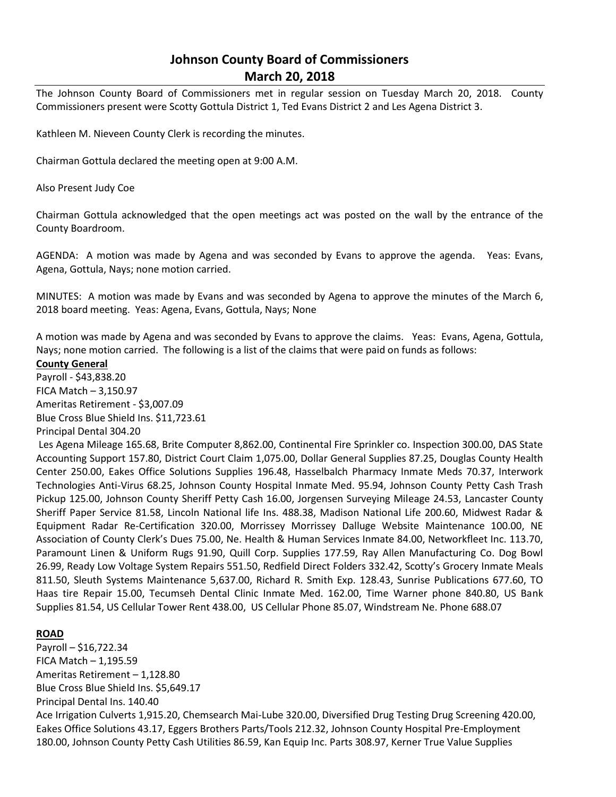# **Johnson County Board of Commissioners March 20, 2018**

The Johnson County Board of Commissioners met in regular session on Tuesday March 20, 2018. County Commissioners present were Scotty Gottula District 1, Ted Evans District 2 and Les Agena District 3.

Kathleen M. Nieveen County Clerk is recording the minutes.

Chairman Gottula declared the meeting open at 9:00 A.M.

Also Present Judy Coe

Chairman Gottula acknowledged that the open meetings act was posted on the wall by the entrance of the County Boardroom.

AGENDA: A motion was made by Agena and was seconded by Evans to approve the agenda. Yeas: Evans, Agena, Gottula, Nays; none motion carried.

MINUTES: A motion was made by Evans and was seconded by Agena to approve the minutes of the March 6, 2018 board meeting. Yeas: Agena, Evans, Gottula, Nays; None

A motion was made by Agena and was seconded by Evans to approve the claims. Yeas: Evans, Agena, Gottula, Nays; none motion carried. The following is a list of the claims that were paid on funds as follows:

#### **County General**

Payroll - \$43,838.20 FICA Match – 3,150.97 Ameritas Retirement - \$3,007.09 Blue Cross Blue Shield Ins. \$11,723.61 Principal Dental 304.20

Les Agena Mileage 165.68, Brite Computer 8,862.00, Continental Fire Sprinkler co. Inspection 300.00, DAS State Accounting Support 157.80, District Court Claim 1,075.00, Dollar General Supplies 87.25, Douglas County Health Center 250.00, Eakes Office Solutions Supplies 196.48, Hasselbalch Pharmacy Inmate Meds 70.37, Interwork Technologies Anti-Virus 68.25, Johnson County Hospital Inmate Med. 95.94, Johnson County Petty Cash Trash Pickup 125.00, Johnson County Sheriff Petty Cash 16.00, Jorgensen Surveying Mileage 24.53, Lancaster County Sheriff Paper Service 81.58, Lincoln National life Ins. 488.38, Madison National Life 200.60, Midwest Radar & Equipment Radar Re-Certification 320.00, Morrissey Morrissey Dalluge Website Maintenance 100.00, NE Association of County Clerk's Dues 75.00, Ne. Health & Human Services Inmate 84.00, Networkfleet Inc. 113.70, Paramount Linen & Uniform Rugs 91.90, Quill Corp. Supplies 177.59, Ray Allen Manufacturing Co. Dog Bowl 26.99, Ready Low Voltage System Repairs 551.50, Redfield Direct Folders 332.42, Scotty's Grocery Inmate Meals 811.50, Sleuth Systems Maintenance 5,637.00, Richard R. Smith Exp. 128.43, Sunrise Publications 677.60, TO Haas tire Repair 15.00, Tecumseh Dental Clinic Inmate Med. 162.00, Time Warner phone 840.80, US Bank Supplies 81.54, US Cellular Tower Rent 438.00, US Cellular Phone 85.07, Windstream Ne. Phone 688.07

## **ROAD**

Payroll – \$16,722.34 FICA Match – 1,195.59 Ameritas Retirement – 1,128.80 Blue Cross Blue Shield Ins. \$5,649.17 Principal Dental Ins. 140.40 Ace Irrigation Culverts 1,915.20, Chemsearch Mai-Lube 320.00, Diversified Drug Testing Drug Screening 420.00, Eakes Office Solutions 43.17, Eggers Brothers Parts/Tools 212.32, Johnson County Hospital Pre-Employment 180.00, Johnson County Petty Cash Utilities 86.59, Kan Equip Inc. Parts 308.97, Kerner True Value Supplies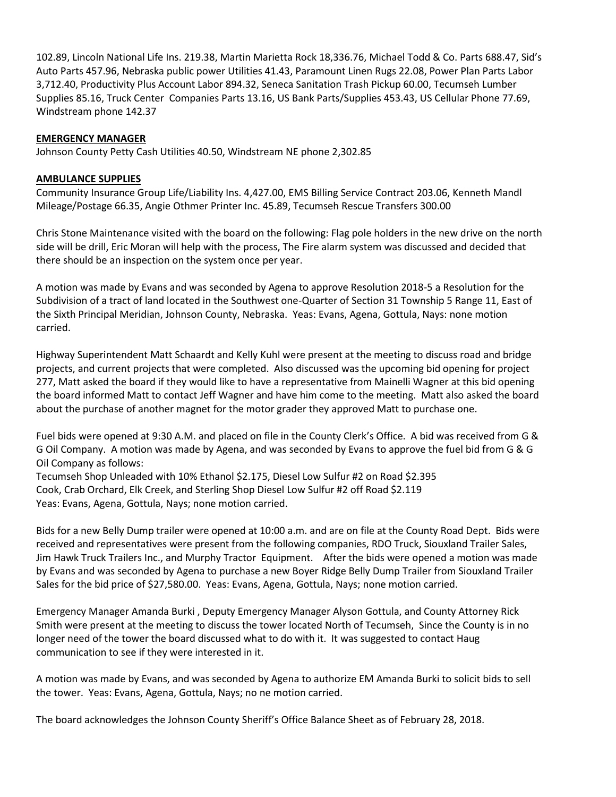102.89, Lincoln National Life Ins. 219.38, Martin Marietta Rock 18,336.76, Michael Todd & Co. Parts 688.47, Sid's Auto Parts 457.96, Nebraska public power Utilities 41.43, Paramount Linen Rugs 22.08, Power Plan Parts Labor 3,712.40, Productivity Plus Account Labor 894.32, Seneca Sanitation Trash Pickup 60.00, Tecumseh Lumber Supplies 85.16, Truck Center Companies Parts 13.16, US Bank Parts/Supplies 453.43, US Cellular Phone 77.69, Windstream phone 142.37

## **EMERGENCY MANAGER**

Johnson County Petty Cash Utilities 40.50, Windstream NE phone 2,302.85

#### **AMBULANCE SUPPLIES**

Community Insurance Group Life/Liability Ins. 4,427.00, EMS Billing Service Contract 203.06, Kenneth Mandl Mileage/Postage 66.35, Angie Othmer Printer Inc. 45.89, Tecumseh Rescue Transfers 300.00

Chris Stone Maintenance visited with the board on the following: Flag pole holders in the new drive on the north side will be drill, Eric Moran will help with the process, The Fire alarm system was discussed and decided that there should be an inspection on the system once per year.

A motion was made by Evans and was seconded by Agena to approve Resolution 2018-5 a Resolution for the Subdivision of a tract of land located in the Southwest one-Quarter of Section 31 Township 5 Range 11, East of the Sixth Principal Meridian, Johnson County, Nebraska. Yeas: Evans, Agena, Gottula, Nays: none motion carried.

Highway Superintendent Matt Schaardt and Kelly Kuhl were present at the meeting to discuss road and bridge projects, and current projects that were completed. Also discussed was the upcoming bid opening for project 277, Matt asked the board if they would like to have a representative from Mainelli Wagner at this bid opening the board informed Matt to contact Jeff Wagner and have him come to the meeting. Matt also asked the board about the purchase of another magnet for the motor grader they approved Matt to purchase one.

Fuel bids were opened at 9:30 A.M. and placed on file in the County Clerk's Office. A bid was received from G & G Oil Company. A motion was made by Agena, and was seconded by Evans to approve the fuel bid from G & G Oil Company as follows:

Tecumseh Shop Unleaded with 10% Ethanol \$2.175, Diesel Low Sulfur #2 on Road \$2.395 Cook, Crab Orchard, Elk Creek, and Sterling Shop Diesel Low Sulfur #2 off Road \$2.119 Yeas: Evans, Agena, Gottula, Nays; none motion carried.

Bids for a new Belly Dump trailer were opened at 10:00 a.m. and are on file at the County Road Dept. Bids were received and representatives were present from the following companies, RDO Truck, Siouxland Trailer Sales, Jim Hawk Truck Trailers Inc., and Murphy Tractor Equipment. After the bids were opened a motion was made by Evans and was seconded by Agena to purchase a new Boyer Ridge Belly Dump Trailer from Siouxland Trailer Sales for the bid price of \$27,580.00. Yeas: Evans, Agena, Gottula, Nays; none motion carried.

Emergency Manager Amanda Burki , Deputy Emergency Manager Alyson Gottula, and County Attorney Rick Smith were present at the meeting to discuss the tower located North of Tecumseh, Since the County is in no longer need of the tower the board discussed what to do with it. It was suggested to contact Haug communication to see if they were interested in it.

A motion was made by Evans, and was seconded by Agena to authorize EM Amanda Burki to solicit bids to sell the tower. Yeas: Evans, Agena, Gottula, Nays; no ne motion carried.

The board acknowledges the Johnson County Sheriff's Office Balance Sheet as of February 28, 2018.